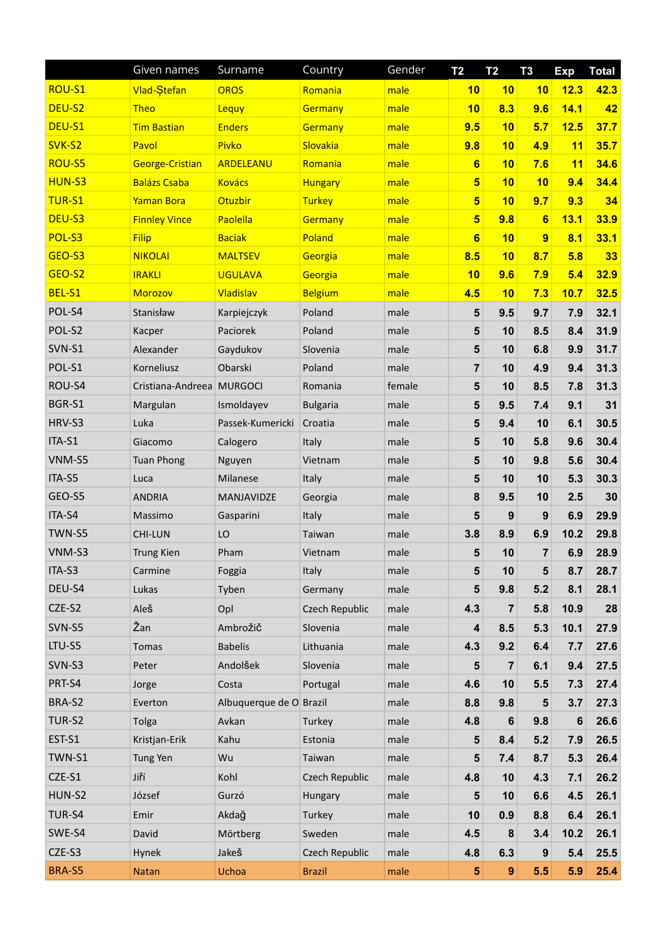|               | Given names               | Surname                 | Country         | Gender | T <sub>2</sub>          | <b>T2</b>        | T <sub>3</sub>   | <b>Exp</b> | <b>Total</b> |
|---------------|---------------------------|-------------------------|-----------------|--------|-------------------------|------------------|------------------|------------|--------------|
| ROU-S1        | <b>Vlad-Stefan</b>        | <b>OROS</b>             | Romania         | male   | 10                      | 10               | 10               | 12.3       | 42.3         |
| DEU-S2        | <b>Theo</b>               | Lequy                   | Germany         | male   | 10                      | 8.3              | 9.6              | 14.1       | 42           |
| DEU-S1        | <b>Tim Bastian</b>        | <b>Enders</b>           | Germany         | male   | 9.5                     | 10               | 5.7              | 12.5       | 37.7         |
| SVK-S2        | Pavol                     | Pivko                   | Slovakia        | male   | 9.8                     | 10               | 4.9              | 11         | 35.7         |
| <b>ROU-S5</b> | <b>George-Cristian</b>    | ARDELEANU               | Romania         | male   | $6\phantom{a}$          | 10               | 7.6              | 11         | 34.6         |
| HUN-S3        | <b>Balázs Csaba</b>       | <b>Kovács</b>           | <b>Hungary</b>  | male   | 5                       | 10               | 10               | 9.4        | 34.4         |
| <b>TUR-S1</b> | <b>Yaman Bora</b>         | Otuzbir                 | <b>Turkey</b>   | male   | $5\phantom{a}$          | 10               | 9.7              | 9.3        | 34           |
| DEU-S3        | <b>Finnley Vince</b>      | Paolella                | Germany         | male   | $\overline{\mathbf{5}}$ | 9.8              | $6\phantom{a}$   | 13.1       | 33.9         |
| POL-S3        | <b>Filip</b>              | <b>Baciak</b>           | Poland          | male   | $6\phantom{a}$          | 10               | $\overline{9}$   | 8.1        | 33.1         |
| GEO-S3        | <b>NIKOLAI</b>            | <b>MALTSEV</b>          | Georgia         | male   | 8.5                     | 10               | 8.7              | 5.8        | 33           |
| GEO-S2        | <b>IRAKLI</b>             | <b>UGULAVA</b>          | Georgia         | male   | 10                      | 9.6              | 7.9              | 5.4        | 32.9         |
| BEL-S1        | <b>Morozov</b>            | Vladislav               | <b>Belgium</b>  | male   | 4.5                     | 10               | 7.3              | 10.7       | 32.5         |
| POL-S4        | Stanisław                 | Karpiejczyk             | Poland          | male   | 5                       | 9.5              | 9.7              | 7.9        | 32.1         |
| POL-S2        | Kacper                    | Paciorek                | Poland          | male   | 5                       | 10               | 8.5              | 8.4        | 31.9         |
| SVN-S1        | Alexander                 | Gaydukov                | Slovenia        | male   | 5                       | 10               | 6.8              | 9.9        | 31.7         |
| POL-S1        | Korneliusz                | Obarski                 | Poland          | male   | $\overline{\mathbf{r}}$ | 10               | 4.9              | 9.4        | 31.3         |
| ROU-S4        | Cristiana-Andreea MURGOCI |                         | Romania         | female | 5                       | 10               | 8.5              | 7.8        | 31.3         |
| BGR-S1        | Margulan                  | Ismoldayev              | <b>Bulgaria</b> | male   | 5                       | 9.5              | 7.4              | 9.1        | 31           |
| HRV-S3        | Luka                      | Passek-Kumericki        | Croatia         | male   | 5                       | 9.4              | 10               | 6.1        | 30.5         |
| ITA-S1        | Giacomo                   | Calogero                | Italy           | male   | 5                       | 10               | 5.8              | 9.6        | 30.4         |
| VNM-S5        | <b>Tuan Phong</b>         | Nguyen                  | Vietnam         | male   | 5                       | 10               | 9.8              | 5.6        | 30.4         |
| ITA-S5        | Luca                      | Milanese                | Italy           | male   | 5                       | 10               | 10               | 5.3        | 30.3         |
| GEO-S5        | <b>ANDRIA</b>             | MANJAVIDZE              | Georgia         | male   | 8                       | 9.5              | 10               | 2.5        | 30           |
| ITA-S4        | Massimo                   | Gasparini               | Italy           | male   | 5                       | 9                | 9                | 6.9        | 29.9         |
| TWN-S5        | <b>CHI-LUN</b>            | LO                      | Taiwan          | male   | 3.8                     | 8.9              | 6.9              | 10.2       | 29.8         |
| VNM-S3        | <b>Trung Kien</b>         | Pham                    | Vietnam         | male   | 5                       | 10               | $\overline{7}$   | 6.9        | 28.9         |
| ITA-S3        | Carmine                   | Foggia                  | Italy           | male   | 5                       | 10               | 5                | 8.7        | 28.7         |
| DEU-S4        | Lukas                     | Tyben                   | Germany         | male   | 5                       | 9.8              | 5.2              | 8.1        | 28.1         |
| CZE-S2        | Aleš                      | Opl                     | Czech Republic  | male   | 4.3                     | $\overline{7}$   | 5.8              | 10.9       | 28           |
| SVN-S5        | Žan                       | Ambrožič                | Slovenia        | male   | 4                       | 8.5              | 5.3              | 10.1       | 27.9         |
| LTU-S5        | Tomas                     | <b>Babelis</b>          | Lithuania       | male   | 4.3                     | 9.2              | 6.4              | 7.7        | 27.6         |
| SVN-S3        | Peter                     | Andolšek                | Slovenia        | male   | 5                       | $\overline{7}$   | 6.1              | 9.4        | 27.5         |
| PRT-S4        | Jorge                     | Costa                   | Portugal        | male   | 4.6                     | 10               | 5.5              | 7.3        | 27.4         |
| BRA-S2        | Everton                   | Albuquerque de O Brazil |                 | male   | 8.8                     | 9.8              | $5\phantom{1}$   | 3.7        | 27.3         |
| TUR-S2        | Tolga                     | Avkan                   | Turkey          | male   | 4.8                     | 6                | 9.8              | 6          | 26.6         |
| EST-S1        | Kristjan-Erik             | Kahu                    | Estonia         | male   | 5                       | 8.4              | 5.2              | 7.9        | 26.5         |
| TWN-S1        | Tung Yen                  | Wu                      | Taiwan          | male   | 5                       | 7.4              | 8.7              | 5.3        | 26.4         |
| CZE-S1        | Jiří                      | Kohl                    | Czech Republic  | male   | 4.8                     | 10               | 4.3              | 7.1        | 26.2         |
| HUN-S2        | József                    | Gurzó                   | Hungary         | male   | 5                       | 10               | 6.6              | 4.5        | 26.1         |
| TUR-S4        | Emir                      | Akdağ                   | Turkey          | male   | 10                      | 0.9              | 8.8              | 6.4        | 26.1         |
| SWE-S4        | David                     | Mörtberg                | Sweden          | male   | 4.5                     | 8                | 3.4              | 10.2       | 26.1         |
| CZE-S3        | Hynek                     | Jakeš                   | Czech Republic  | male   | 4.8                     | 6.3              | $\boldsymbol{9}$ | 5.4        | 25.5         |
| BRA-S5        | <b>Natan</b>              | Uchoa                   | <b>Brazil</b>   | male   | ${\bf 5}$               | $\boldsymbol{9}$ | 5.5              | 5.9        | 25.4         |
|               |                           |                         |                 |        |                         |                  |                  |            |              |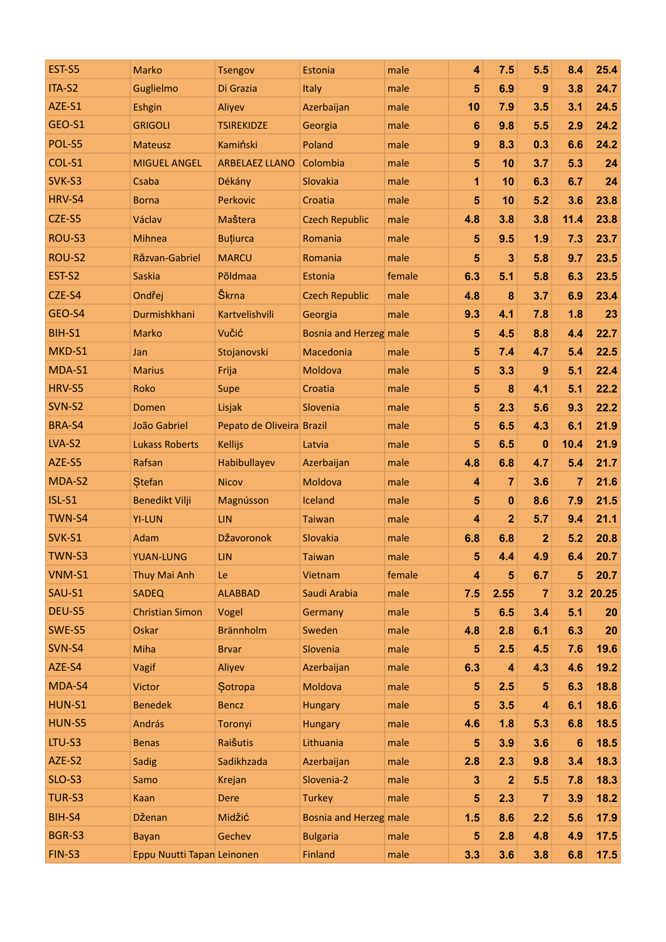| EST-S5        | Marko                      | <b>Tsengov</b>            | Estonia                | male   | 4                       | 7.5                     | 5.5            | 8.4            | 25.4  |
|---------------|----------------------------|---------------------------|------------------------|--------|-------------------------|-------------------------|----------------|----------------|-------|
| ITA-S2        | Guglielmo                  | Di Grazia                 | Italy                  | male   | 5                       | 6.9                     | 9              | 3.8            | 24.7  |
| AZE-S1        | Eshgin                     | Aliyev                    | Azerbaijan             | male   | 10                      | 7.9                     | 3.5            | 3.1            | 24.5  |
| GEO-S1        | <b>GRIGOLI</b>             | <b>TSIREKIDZE</b>         | Georgia                | male   | 6                       | 9.8                     | 5.5            | 2.9            | 24.2  |
| POL-S5        | <b>Mateusz</b>             | Kamiński                  | Poland                 | male   | $\boldsymbol{9}$        | 8.3                     | 0.3            | 6.6            | 24.2  |
| COL-S1        | <b>MIGUEL ANGEL</b>        | <b>ARBELAEZ LLANO</b>     | Colombia               | male   | 5                       | 10                      | 3.7            | 5.3            | 24    |
| SVK-S3        | Csaba                      | Dékány                    | Slovakia               | male   | 1                       | 10                      | 6.3            | 6.7            | 24    |
| HRV-S4        | <b>Borna</b>               | Perkovic                  | Croatia                | male   | 5                       | 10                      | 5.2            | 3.6            | 23.8  |
| CZE-S5        | Václav                     | Maštera                   | <b>Czech Republic</b>  | male   | 4.8                     | 3.8                     | 3.8            | 11.4           | 23.8  |
| ROU-S3        | <b>Mihnea</b>              | <b>Buțiurca</b>           | Romania                | male   | 5                       | 9.5                     | 1.9            | 7.3            | 23.7  |
| ROU-S2        | Răzvan-Gabriel             | <b>MARCU</b>              | Romania                | male   | 5                       | $\overline{\mathbf{3}}$ | 5.8            | 9.7            | 23.5  |
| EST-S2        | <b>Saskia</b>              | Põldmaa                   | Estonia                | female | 6.3                     | 5.1                     | 5.8            | 6.3            | 23.5  |
| CZE-S4        | Ondřej                     | Škrna                     | <b>Czech Republic</b>  | male   | 4.8                     | 8                       | 3.7            | 6.9            | 23.4  |
| GEO-S4        | Durmishkhani               | Kartvelishvili            | Georgia                | male   | 9.3                     | 4.1                     | 7.8            | 1.8            | 23    |
| BIH-S1        | Marko                      | Vučić                     | Bosnia and Herzeg male |        | 5                       | 4.5                     | 8.8            | 4.4            | 22.7  |
| MKD-S1        | Jan                        | Stojanovski               | Macedonia              | male   | 5                       | 7.4                     | 4.7            | 5.4            | 22.5  |
| MDA-S1        | <b>Marius</b>              | Frija                     | Moldova                | male   | 5                       | 3.3                     | 9              | 5.1            | 22.4  |
| HRV-S5        | Roko                       | Supe                      | Croatia                | male   | 5                       | $\bf{8}$                | 4.1            | 5.1            | 22.2  |
| SVN-S2        | Domen                      | Lisjak                    | Slovenia               | male   | 5                       | 2.3                     | 5.6            | 9.3            | 22.2  |
| BRA-S4        | João Gabriel               | Pepato de Oliveira Brazil |                        | male   | 5                       | 6.5                     | 4.3            | 6.1            | 21.9  |
| LVA-S2        | <b>Lukass Roberts</b>      | <b>Kellijs</b>            | Latvia                 | male   | 5                       | 6.5                     | $\bf{0}$       | 10.4           | 21.9  |
| AZE-S5        | Rafsan                     | Habibullayev              | Azerbaijan             | male   | 4.8                     | 6.8                     | 4.7            | 5.4            | 21.7  |
| MDA-S2        | <b>Stefan</b>              | <b>Nicov</b>              | Moldova                | male   | $\overline{\mathbf{4}}$ | $\overline{7}$          | 3.6            | $\overline{7}$ | 21.6  |
| <b>ISL-S1</b> | <b>Benedikt Vilji</b>      | Magnússon                 | Iceland                | male   | 5                       | $\mathbf{0}$            | 8.6            | 7.9            | 21.5  |
| TWN-S4        | <b>YI-LUN</b>              | <b>LIN</b>                | <b>Taiwan</b>          | male   | $\overline{\mathbf{4}}$ | $\overline{2}$          | 5.7            | 9.4            | 21.1  |
| SVK-S1        | Adam                       | DŽavoronok                | Slovakia               | male   | 6.8                     | 6.8                     | $\mathbf{2}$   | 5.2            | 20.8  |
| TWN-S3        | <b>YUAN-LUNG</b>           | LIN                       | <b>Taiwan</b>          | male   | 5                       | 4.4                     | 4.9            | 6.4            | 20.7  |
| VNM-S1        | Thuy Mai Anh               | Le                        | Vietnam                | female | 4                       | $5\phantom{1}$          | 6.7            | $5\phantom{1}$ | 20.7  |
| SAU-S1        | <b>SADEQ</b>               | <b>ALABBAD</b>            | Saudi Arabia           | male   | 7.5                     | 2.55                    | $\overline{7}$ | 3.2            | 20.25 |
| DEU-S5        | <b>Christian Simon</b>     | Vogel                     | Germany                | male   | 5                       | 6.5                     | 3.4            | 5.1            | 20    |
| SWE-S5        | Oskar                      | <b>Brännholm</b>          | Sweden                 | male   | 4.8                     | 2.8                     | 6.1            | 6.3            | 20    |
| SVN-S4        | Miha                       | <b>Brvar</b>              | Slovenia               | male   | 5                       | 2.5                     | 4.5            | 7.6            | 19.6  |
| AZE-S4        | Vagif                      | Aliyev                    | Azerbaijan             | male   | 6.3                     | $\overline{\mathbf{4}}$ | 4.3            | 4.6            | 19.2  |
| MDA-S4        | <b>Victor</b>              | Sotropa                   | Moldova                | male   | 5                       | 2.5                     | 5              | 6.3            | 18.8  |
| <b>HUN-S1</b> | <b>Benedek</b>             | <b>Bencz</b>              | <b>Hungary</b>         | male   | 5                       | 3.5                     | 4              | 6.1            | 18.6  |
| HUN-S5        | András                     | Toronyi                   | Hungary                | male   | 4.6                     | 1.8                     | 5.3            | 6.8            | 18.5  |
| LTU-S3        | <b>Benas</b>               | Raišutis                  | Lithuania              | male   | 5                       | 3.9                     | 3.6            | 6              | 18.5  |
| AZE-S2        | Sadig                      | Sadikhzada                | Azerbaijan             | male   | 2.8                     | 2.3                     | 9.8            | 3.4            | 18.3  |
| SLO-S3        | Samo                       | Krejan                    | Slovenia-2             | male   | 3                       | $\overline{2}$          | 5.5            | 7.8            | 18.3  |
| TUR-S3        | Kaan                       | <b>Dere</b>               | <b>Turkey</b>          | male   | 5                       | 2.3                     | 7              | 3.9            | 18.2  |
| BIH-S4        | Dženan                     | Midžić                    | Bosnia and Herzeg male |        | 1.5                     | 8.6                     | 2.2            | 5.6            | 17.9  |
| BGR-S3        | <b>Bayan</b>               | Gechev                    | <b>Bulgaria</b>        | male   | 5                       | 2.8                     | 4.8            | 4.9            | 17.5  |
| FIN-S3        | Eppu Nuutti Tapan Leinonen |                           | Finland                | male   | 3.3                     | 3.6                     | 3.8            | 6.8            | 17.5  |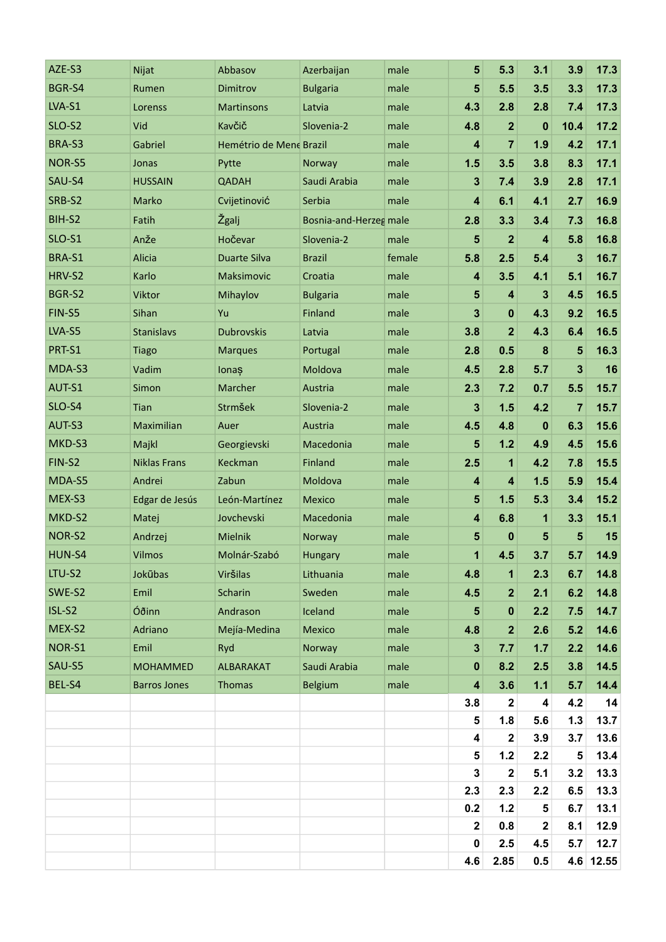| AZE-S3        | Nijat               | Abbasov                 | Azerbaijan             | male   | 5                       | 5.3                     | 3.1                     | 3.9                     | 17.3   |
|---------------|---------------------|-------------------------|------------------------|--------|-------------------------|-------------------------|-------------------------|-------------------------|--------|
| BGR-S4        | Rumen               | Dimitrov                | <b>Bulgaria</b>        | male   | 5                       | 5.5                     | 3.5                     | 3.3                     | 17.3   |
| LVA-S1        | Lorenss             | <b>Martinsons</b>       | Latvia                 | male   | 4.3                     | 2.8                     | 2.8                     | 7.4                     | 17.3   |
| SLO-S2        | Vid                 | Kavčič                  | Slovenia-2             | male   | 4.8                     | $\overline{2}$          | $\mathbf 0$             | 10.4                    | 17.2   |
| BRA-S3        | Gabriel             | Hemétrio de Mene Brazil |                        | male   | $\overline{\mathbf{4}}$ | $\overline{7}$          | 1.9                     | 4.2                     | 17.1   |
| NOR-S5        | Jonas               | Pytte                   | Norway                 | male   | 1.5                     | 3.5                     | 3.8                     | 8.3                     | 17.1   |
| SAU-S4        | <b>HUSSAIN</b>      | <b>QADAH</b>            | Saudi Arabia           | male   | 3                       | 7.4                     | 3.9                     | 2.8                     | 17.1   |
| SRB-S2        | Marko               | Cvijetinović            | Serbia                 | male   | 4                       | 6.1                     | 4.1                     | 2.7                     | 16.9   |
| BIH-S2        | Fatih               | Žgalj                   | Bosnia-and-Herzeg male |        | 2.8                     | 3.3                     | 3.4                     | 7.3                     | 16.8   |
| <b>SLO-S1</b> | Anže                | Hočevar                 | Slovenia-2             | male   | 5                       | $\overline{2}$          | 4                       | 5.8                     | 16.8   |
| BRA-S1        | Alicia              | <b>Duarte Silva</b>     | <b>Brazil</b>          | female | 5.8                     | 2.5                     | 5.4                     | 3                       | 16.7   |
| HRV-S2        | Karlo               | Maksimovic              | Croatia                | male   | $\overline{\mathbf{4}}$ | 3.5                     | 4.1                     | 5.1                     | 16.7   |
| BGR-S2        | Viktor              | Mihaylov                | <b>Bulgaria</b>        | male   | 5                       | $\overline{\mathbf{4}}$ | 3                       | 4.5                     | 16.5   |
| FIN-S5        | Sihan               | Yu                      | Finland                | male   | 3                       | $\pmb{0}$               | 4.3                     | 9.2                     | 16.5   |
| LVA-S5        | Stanislavs          | <b>Dubrovskis</b>       | Latvia                 | male   | 3.8                     | $\overline{2}$          | 4.3                     | 6.4                     | 16.5   |
| PRT-S1        | <b>Tiago</b>        | <b>Marques</b>          | Portugal               | male   | 2.8                     | 0.5                     | $\bf{8}$                | 5                       | 16.3   |
| MDA-S3        | Vadim               | lonaș                   | Moldova                | male   | 4.5                     | 2.8                     | 5.7                     | $\overline{\mathbf{3}}$ | 16     |
| AUT-S1        | Simon               | Marcher                 | Austria                | male   | 2.3                     | 7.2                     | 0.7                     | 5.5                     | 15.7   |
| SLO-S4        | Tian                | Strmšek                 | Slovenia-2             | male   | 3                       | 1.5                     | 4.2                     | $\overline{7}$          | 15.7   |
| AUT-S3        | Maximilian          | Auer                    | Austria                | male   | 4.5                     | 4.8                     | $\mathbf{0}$            | 6.3                     | 15.6   |
| MKD-S3        | Majkl               | Georgievski             | Macedonia              | male   | 5                       | 1.2                     | 4.9                     | 4.5                     | 15.6   |
| FIN-S2        | <b>Niklas Frans</b> | Keckman                 | Finland                | male   | 2.5                     | $\mathbf{1}$            | 4.2                     | 7.8                     | 15.5   |
| MDA-S5        | Andrei              | Zabun                   | Moldova                | male   | 4                       | $\overline{\mathbf{4}}$ | 1.5                     | 5.9                     | 15.4   |
| MEX-S3        | Edgar de Jesús      | León-Martínez           | Mexico                 | male   | 5                       | 1.5                     | 5.3                     | 3.4                     | 15.2   |
| MKD-S2        | Matej               | Jovchevski              | Macedonia              | male   | $\overline{\mathbf{4}}$ | 6.8                     | $\mathbf 1$             | 3.3                     | 15.1   |
| NOR-S2        | Andrzej             | Mielnik                 | Norway                 | male   | 5                       | $\bf{0}$                | $5\phantom{1}$          | 5                       | 15     |
| HUN-S4        | <b>Vilmos</b>       | Molnár-Szabó            | <b>Hungary</b>         | male   | 1                       | 4.5                     | 3.7                     | 5.7                     | 14.9   |
| LTU-S2        | Jokūbas             | Viršilas                | Lithuania              | male   | 4.8                     | $\mathbf{1}$            | 2.3                     | 6.7                     | 14.8   |
| SWE-S2        | Emil                | Scharin                 | Sweden                 | male   | 4.5                     | $\mathbf{2}$            | 2.1                     | 6.2                     | 14.8   |
| ISL-S2        | Óðinn               | Andrason                | Iceland                | male   | 5                       | $\pmb{0}$               | 2.2                     | 7.5                     | 14.7   |
| MEX-S2        | Adriano             | Mejía-Medina            | Mexico                 | male   | 4.8                     | $\mathbf{2}$            | 2.6                     | 5.2                     | 14.6   |
| NOR-S1        | Emil                | Ryd                     | Norway                 | male   | $\mathbf 3$             | 7.7                     | 1.7                     | 2.2                     | 14.6   |
| SAU-S5        | <b>MOHAMMED</b>     | ALBARAKAT               | Saudi Arabia           | male   | $\pmb{0}$               | 8.2                     | 2.5                     | 3.8                     | $14.5$ |
| BEL-S4        | <b>Barros Jones</b> | <b>Thomas</b>           | <b>Belgium</b>         | male   | $\overline{\mathbf{4}}$ | 3.6                     | $1.1$                   | 5.7                     | 14.4   |
|               |                     |                         |                        |        | 3.8                     | $\mathbf{2}$            | $\overline{\mathbf{4}}$ | 4.2                     | 14     |
|               |                     |                         |                        |        | $\overline{\mathbf{5}}$ | 1.8                     | 5.6                     | 1.3                     | 13.7   |
|               |                     |                         |                        |        | $\overline{\mathbf{4}}$ | $\mathbf 2$             | 3.9                     | 3.7                     | 13.6   |
|               |                     |                         |                        |        | ${\bf 5}$               | 1.2                     | 2.2                     | 5                       | 13.4   |
|               |                     |                         |                        |        | 3                       | $\mathbf 2$             | 5.1                     | 3.2                     | 13.3   |
|               |                     |                         |                        |        | 2.3                     | 2.3                     | 2.2                     | 6.5                     | 13.3   |
|               |                     |                         |                        |        | 0.2                     | 1.2                     | $\overline{\mathbf{5}}$ | 6.7                     | 13.1   |
|               |                     |                         |                        |        | 2                       | 0.8                     | $\mathbf{2}$            | 8.1                     | 12.9   |
|               |                     |                         |                        |        | $\pmb{0}$               | 2.5                     | 4.5                     | 5.7                     | 12.7   |
|               |                     |                         |                        |        | 4.6                     | 2.85                    | 0.5                     | 4.6                     | 12.55  |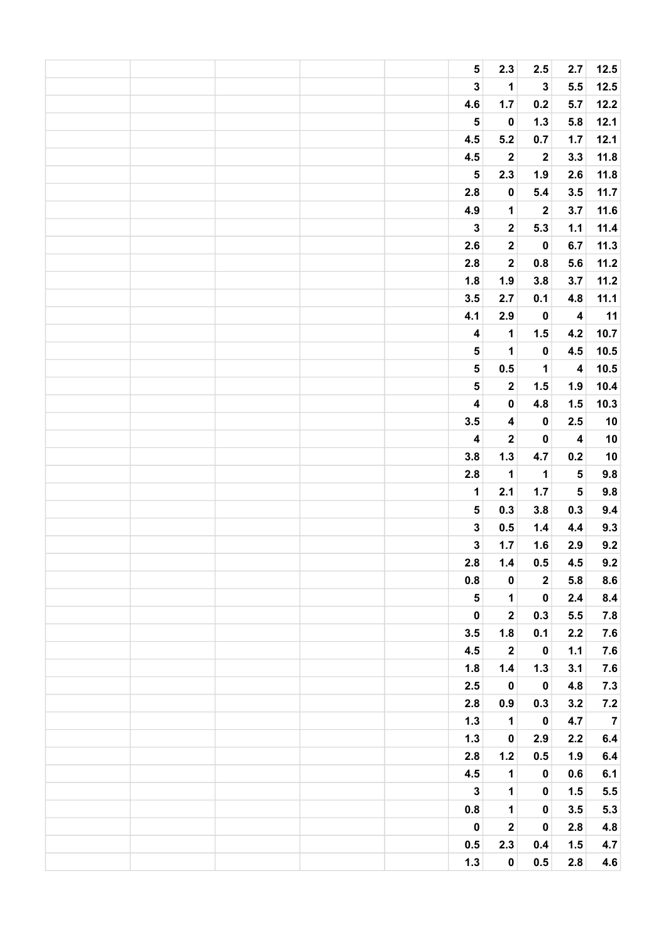|  |  | ${\bf 5}$               | 2.3                     | 2.5              | 2.7                                  | $12.5$     |
|--|--|-------------------------|-------------------------|------------------|--------------------------------------|------------|
|  |  | $\mathbf 3$             | $\mathbf 1$             | $\mathbf 3$      | 5.5                                  | 12.5       |
|  |  | 4.6                     | 1.7                     | $0.2\,$          | 5.7                                  | 12.2       |
|  |  | $\overline{\mathbf{5}}$ | $\pmb{0}$               | $1.3$            | 5.8                                  | 12.1       |
|  |  | 4.5                     | 5.2                     | $0.7\,$          | 1.7                                  | 12.1       |
|  |  | 4.5                     | $\boldsymbol{2}$        | $\boldsymbol{2}$ | 3.3                                  | 11.8       |
|  |  | $\overline{\mathbf{5}}$ | 2.3                     | 1.9              | 2.6                                  | 11.8       |
|  |  | $2.8\,$                 | $\pmb{0}$               | 5.4              | 3.5                                  | 11.7       |
|  |  | 4.9                     | $\mathbf 1$             | $\boldsymbol{2}$ | 3.7                                  | 11.6       |
|  |  | $\mathbf 3$             | $\mathbf{2}$            | 5.3              | $1.1$                                | 11.4       |
|  |  | 2.6                     | $\boldsymbol{2}$        | $\pmb{0}$        | 6.7                                  | 11.3       |
|  |  | 2.8                     | $\overline{\mathbf{2}}$ | $0.8\,$          | 5.6                                  | 11.2       |
|  |  | 1.8                     | 1.9                     | 3.8              | 3.7                                  | 11.2       |
|  |  | 3.5                     | 2.7                     | 0.1              | 4.8                                  | 11.1       |
|  |  | 4.1                     | 2.9                     | $\pmb{0}$        | $\overline{\mathbf{4}}$              | 11         |
|  |  | $\overline{\mathbf{4}}$ | $\mathbf 1$             | 1.5              | 4.2                                  | 10.7       |
|  |  | ${\bf 5}$               | $\mathbf 1$             | $\pmb{0}$        | 4.5                                  | $10.5$     |
|  |  | 5                       | $0.5\,$                 | $\mathbf 1$      | $\overline{\mathbf{4}}$              | 10.5       |
|  |  | $\overline{\mathbf{5}}$ | $\boldsymbol{2}$        | 1.5              | 1.9                                  | 10.4       |
|  |  | $\overline{\mathbf{4}}$ | $\pmb{0}$               | 4.8              | 1.5                                  | 10.3       |
|  |  | 3.5                     | $\overline{\mathbf{4}}$ | $\pmb{0}$        | 2.5                                  | $10\,$     |
|  |  | $\overline{\mathbf{4}}$ | $\boldsymbol{2}$        | $\pmb{0}$        | $\overline{\mathbf{4}}$              | ${\bf 10}$ |
|  |  | 3.8                     |                         | 4.7              | 0.2                                  |            |
|  |  |                         | $1.3$                   |                  |                                      | $10\,$     |
|  |  | $2.8\,$                 | $\mathbf 1$             | $\mathbf 1$      | ${\bf 5}$<br>$\overline{\mathbf{5}}$ | $9.8\,$    |
|  |  | $\mathbf 1$             | 2.1                     | $1.7$            |                                      | $9.8\,$    |
|  |  | 5                       | 0.3                     | 3.8              | 0.3                                  | $9.4\,$    |
|  |  | $\mathbf{3}$            | 0.5                     | $1.4$            | 4.4                                  | 9.3        |
|  |  | $\overline{\mathbf{3}}$ | 1.7                     | 1.6              | 2.9                                  | $9.2\,$    |
|  |  | 2.8                     | $1.4$                   | $0.5\,$          | 4.5                                  | 9.2        |
|  |  | 0.8                     | $\pmb{0}$               | $\boldsymbol{2}$ | 5.8                                  | 8.6        |
|  |  | ${\bf 5}$               | $\mathbf{1}$            | $\pmb{0}$        | 2.4                                  | 8.4        |
|  |  | $\pmb{0}$               | $\overline{\mathbf{2}}$ | 0.3              | 5.5                                  | $\bf 7.8$  |
|  |  | 3.5                     | 1.8                     | 0.1              | 2.2                                  | $\bf 7.6$  |
|  |  | 4.5                     | $\boldsymbol{2}$        | $\pmb{0}$        | $1.1$                                | $7.6$      |
|  |  | 1.8                     | 1.4                     | $1.3$            | 3.1                                  | $7.6$      |
|  |  | 2.5                     | $\pmb{0}$               | $\pmb{0}$        | 4.8                                  | $\bf 7.3$  |
|  |  | 2.8                     | 0.9                     | 0.3              | 3.2                                  | $\bf 7.2$  |
|  |  | $1.3$                   | $\mathbf 1$             | $\pmb{0}$        | 4.7                                  | $\bf 7$    |
|  |  | $1.3$                   | $\pmb{0}$               | 2.9              | 2.2                                  | $6.4\,$    |
|  |  | 2.8                     | $1.2$                   | 0.5              | 1.9                                  | $\bf 6.4$  |
|  |  | 4.5                     | $\mathbf{1}$            | $\pmb{0}$        | 0.6                                  | 6.1        |
|  |  | $\mathbf 3$             | $\mathbf{1}$            | $\pmb{0}$        | 1.5                                  | $\bf 5.5$  |
|  |  | 0.8                     | $\mathbf 1$             | $\pmb{0}$        | 3.5                                  | $5.3$      |
|  |  | $\pmb{0}$               | $\mathbf{2}$            | $\pmb{0}$        | 2.8                                  | 4.8        |
|  |  | 0.5                     | 2.3                     | 0.4              | 1.5                                  | 4.7        |
|  |  | $1.3$                   | $\pmb{0}$               | 0.5              | 2.8                                  | 4.6        |
|  |  |                         |                         |                  |                                      |            |